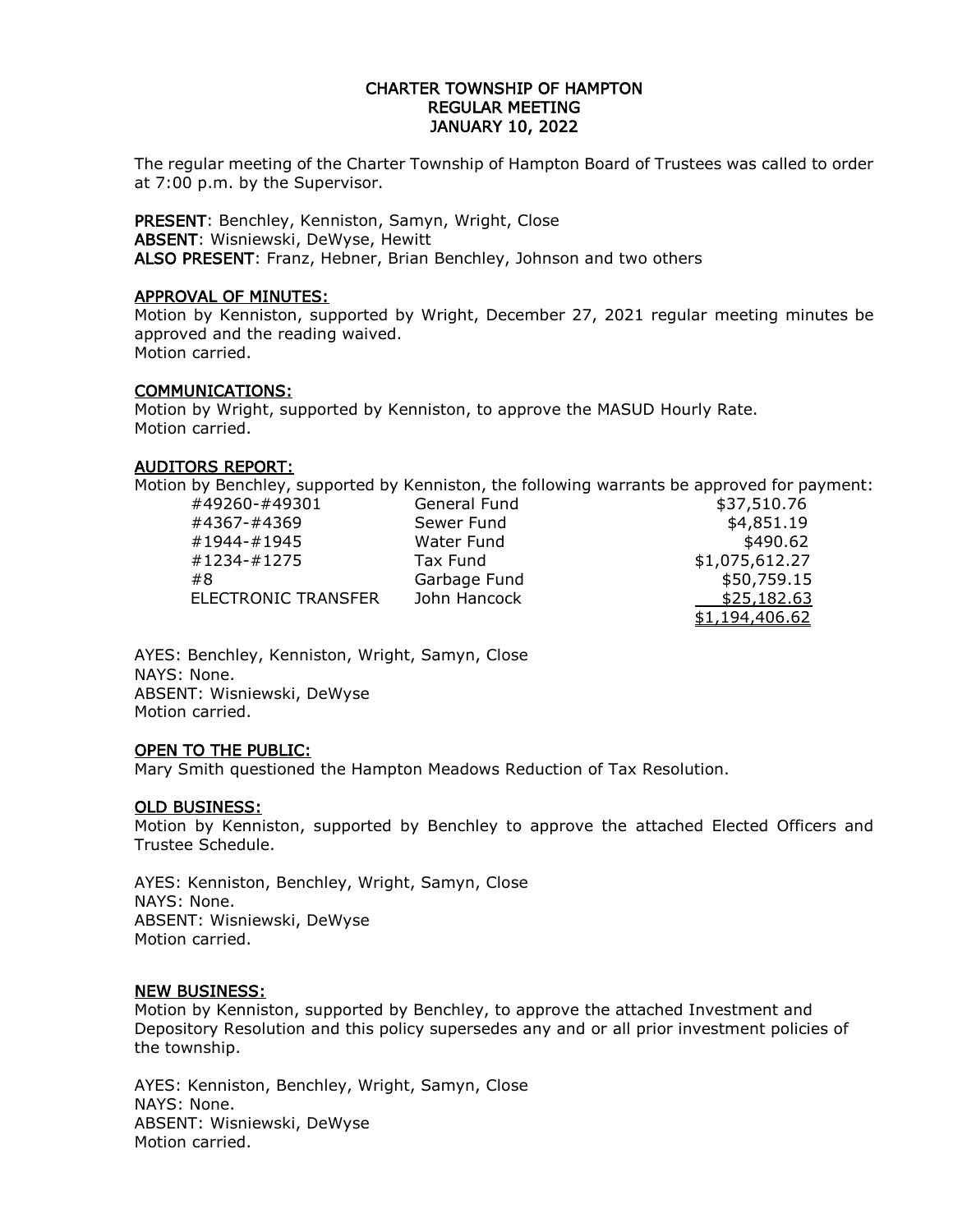## CHARTER TOWNSHIP OF HAMPTON REGULAR MEETING JANUARY 10, 2022

The regular meeting of the Charter Township of Hampton Board of Trustees was called to order at 7:00 p.m. by the Supervisor.

PRESENT: Benchley, Kenniston, Samyn, Wright, Close ABSENT: Wisniewski, DeWyse, Hewitt ALSO PRESENT: Franz, Hebner, Brian Benchley, Johnson and two others

#### APPROVAL OF MINUTES:

Motion by Kenniston, supported by Wright, December 27, 2021 regular meeting minutes be approved and the reading waived. Motion carried.

#### COMMUNICATIONS:

Motion by Wright, supported by Kenniston, to approve the MASUD Hourly Rate. Motion carried.

#### AUDITORS REPORT:

Motion by Benchley, supported by Kenniston, the following warrants be approved for payment:

| #49260-#49301              | General Fund | \$37,510.76    |
|----------------------------|--------------|----------------|
| #4367-#4369                | Sewer Fund   | \$4,851.19     |
| #1944-#1945                | Water Fund   | \$490.62       |
| #1234-#1275                | Tax Fund     | \$1,075,612.27 |
| #8                         | Garbage Fund | \$50,759.15    |
| <b>ELECTRONIC TRANSFER</b> | John Hancock | \$25,182.63    |
|                            |              | \$1,194,406.62 |

AYES: Benchley, Kenniston, Wright, Samyn, Close NAYS: None. ABSENT: Wisniewski, DeWyse Motion carried.

## OPEN TO THE PUBLIC:

Mary Smith questioned the Hampton Meadows Reduction of Tax Resolution.

## OLD BUSINESS:

Motion by Kenniston, supported by Benchley to approve the attached Elected Officers and Trustee Schedule.

AYES: Kenniston, Benchley, Wright, Samyn, Close NAYS: None. ABSENT: Wisniewski, DeWyse Motion carried.

#### NEW BUSINESS:

Motion by Kenniston, supported by Benchley, to approve the attached Investment and Depository Resolution and this policy supersedes any and or all prior investment policies of the township.

AYES: Kenniston, Benchley, Wright, Samyn, Close NAYS: None. ABSENT: Wisniewski, DeWyse Motion carried.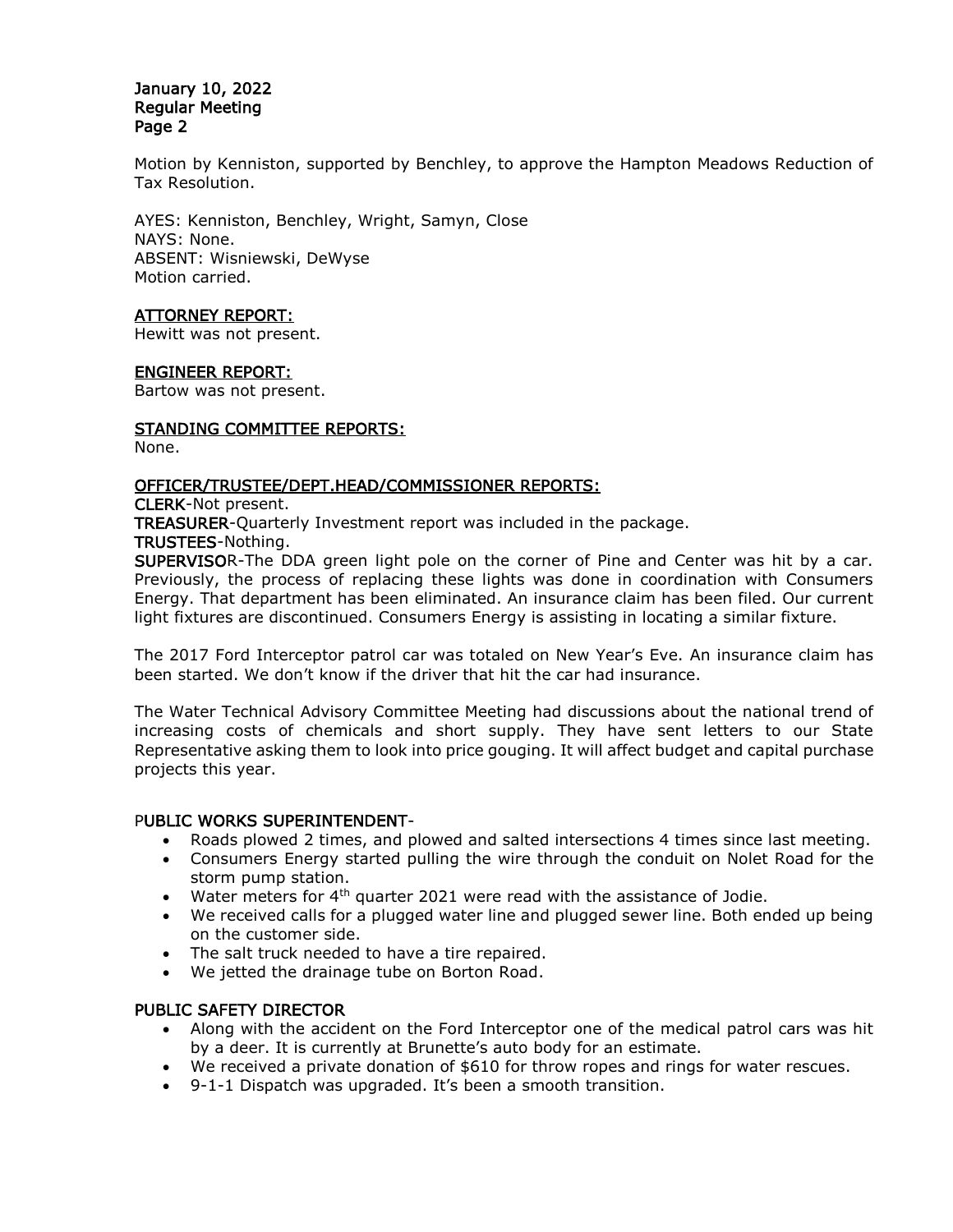#### January 10, 2022 Regular Meeting Page 2

Motion by Kenniston, supported by Benchley, to approve the Hampton Meadows Reduction of Tax Resolution.

AYES: Kenniston, Benchley, Wright, Samyn, Close NAYS: None. ABSENT: Wisniewski, DeWyse Motion carried.

# ATTORNEY REPORT:

Hewitt was not present.

## ENGINEER REPORT:

Bartow was not present.

## STANDING COMMITTEE REPORTS:

None.

#### OFFICER/TRUSTEE/DEPT.HEAD/COMMISSIONER REPORTS:

CLERK-Not present.

TREASURER-Quarterly Investment report was included in the package.

TRUSTEES-Nothing.

SUPERVISOR-The DDA green light pole on the corner of Pine and Center was hit by a car. Previously, the process of replacing these lights was done in coordination with Consumers Energy. That department has been eliminated. An insurance claim has been filed. Our current light fixtures are discontinued. Consumers Energy is assisting in locating a similar fixture.

The 2017 Ford Interceptor patrol car was totaled on New Year's Eve. An insurance claim has been started. We don't know if the driver that hit the car had insurance.

The Water Technical Advisory Committee Meeting had discussions about the national trend of increasing costs of chemicals and short supply. They have sent letters to our State Representative asking them to look into price gouging. It will affect budget and capital purchase projects this year.

## PUBLIC WORKS SUPERINTENDENT-

- Roads plowed 2 times, and plowed and salted intersections 4 times since last meeting.
- Consumers Energy started pulling the wire through the conduit on Nolet Road for the storm pump station.
- $\bullet$  Water meters for 4<sup>th</sup> quarter 2021 were read with the assistance of Jodie.
- We received calls for a plugged water line and plugged sewer line. Both ended up being on the customer side.
- The salt truck needed to have a tire repaired.
- We jetted the drainage tube on Borton Road.

## PUBLIC SAFETY DIRECTOR

- Along with the accident on the Ford Interceptor one of the medical patrol cars was hit by a deer. It is currently at Brunette's auto body for an estimate.
- We received a private donation of \$610 for throw ropes and rings for water rescues.
- 9-1-1 Dispatch was upgraded. It's been a smooth transition.